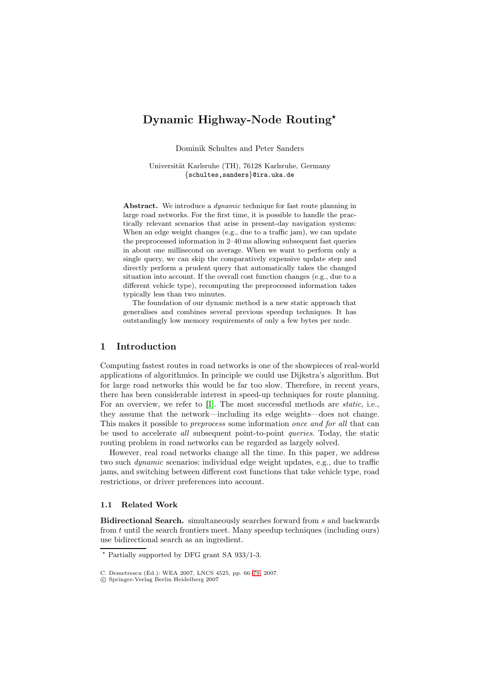# **Dynamic Highway-Node Routing***-*

Dominik Schultes and Peter Sanders

Universität Karlsruhe (TH), 76128 Karlsruhe, Germany {schultes,sanders}@ira.uka.de

Abstract. We introduce a *dynamic* technique for fast route planning in large road networks. For the first time, it is possible to handle the practically relevant scenarios that arise in present-day navigation systems: When an edge weight changes (e.g., due to a traffic jam), we can update the preprocessed information in 2–40 ms allowing subsequent fast queries in about one millisecond on average. When we want to perform only a single query, we can skip the comparatively expensive update step and directly perform a prudent query that automatically takes the changed situation into account. If the overall cost function changes (e.g., due to a different vehicle type), recomputing the preprocessed information takes typically less than two minutes.

The foundation of our dynamic method is a new static approach that generalises and combines several previous speedup techniques. It has outstandingly low memory requirements of only a few bytes per node.

### **1 Introduction**

Computing fastest routes in road networks is one of the showpieces of real-world applications of algorithmics. In principle we could use Dijkstra's algorithm. But for large road networks this would be far too slow. Therefore, in recent years, there has been considerable interest in speed-up techniques for route planning. For an overview, we refer to [\[1\]](#page-12-0). The most successful methods are *static*, i.e., they assume that the network—including its edge weights—does not change. This makes it possible to *preprocess* some information *once and for all* that can be used to accelerate all subsequent point-to-point queries. Today, the static routing problem in road networks can be regarded as largely solved.

However, real road networks change all the time. In this paper, we address two such dynamic scenarios: individual edge weight updates, e.g., due to traffic jams, and switching between different cost functions that take vehicle type, road restrictions, or driver preferences into account.

#### **1.1 Related Work**

**Bidirectional Search.** simultaneously searches forward from s and backwards from t until the search frontiers meet. Many speedup techniques (including ours) use bidirectional search as an ingredient.

<sup>-</sup> Partially supported by DFG grant SA 933/1-3.

C. Demetrescu (Ed.): WEA 2007, LNCS 4525, pp. 66[–79,](#page-12-1) 2007.

<sup>-</sup>c Springer-Verlag Berlin Heidelberg 2007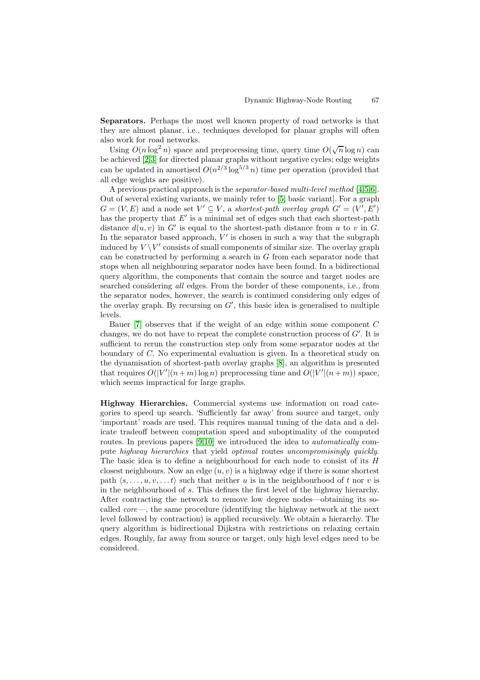**Separators.** Perhaps the most well known property of road networks is that they are almost planar, i.e., techniques developed for planar graphs will often also work for road networks.

Using  $O(n \log^2 n)$  space and preprocessing time, query time  $O(\sqrt{n} \log n)$  can be achieved [\[2](#page-12-2)[,3\]](#page-12-3) for directed planar graphs without negative cycles; edge weights can be updated in amortised  $O(n^{2/3} \log^{5/3} n)$  time per operation (provided that all edge weights are positive).

A previous practical approach is the separator-based multi-level method [\[4,](#page-13-0)[5,](#page-13-1)[6\]](#page-13-2). Out of several existing variants, we mainly refer to [\[5,](#page-13-1) basic variant]. For a graph  $G = (V, E)$  and a node set  $V' \subseteq V$ , a shortest-path overlay graph  $G' = (V', E')$ has the property that  $E'$  is a minimal set of edges such that each shortest-path distance  $d(u, v)$  in G' is equal to the shortest-path distance from u to v in G. In the separator based approach,  $V'$  is chosen in such a way that the subgraph induced by  $V \setminus V'$  consists of small components of similar size. The overlay graph can be constructed by performing a search in G from each separator node that stops when all neighbouring separator nodes have been found. In a bidirectional query algorithm, the components that contain the source and target nodes are searched considering all edges. From the border of these components, i.e., from the separator nodes, however, the search is continued considering only edges of the overlay graph. By recursing on  $G'$ , this basic idea is generalised to multiple levels.

Bauer [\[7\]](#page-13-3) observes that if the weight of an edge within some component C changes, we do not have to repeat the complete construction process of  $G'$ . It is sufficient to rerun the construction step only from some separator nodes at the boundary of C. No experimental evaluation is given. In a theoretical study on the dynamisation of shortest-path overlay graphs [\[8\]](#page-13-4), an algorithm is presented that requires  $O(|V'|(n+m)\log n)$  preprocessing time and  $O(|V'|(n+m))$  space, which seems impractical for large graphs.

**Highway Hierarchies.** Commercial systems use information on road categories to speed up search. 'Sufficiently far away' from source and target, only 'important' roads are used. This requires manual tuning of the data and a delicate tradeoff between computation speed and suboptimality of the computed routes. In previous papers [\[9](#page-13-5)[,10\]](#page-13-6) we introduced the idea to automatically compute highway hierarchies that yield optimal routes uncompromisingly quickly. The basic idea is to define a neighbourhood for each node to consist of its H closest neighbours. Now an edge  $(u, v)$  is a highway edge if there is some shortest path  $\langle s, \ldots, u, v, \ldots \rangle$  such that neither u is in the neighbourhood of t nor v is in the neighbourhood of s. This defines the first level of the highway hierarchy. After contracting the network to remove low degree nodes—obtaining its socalled core—, the same procedure (identifying the highway network at the next level followed by contraction) is applied recursively. We obtain a hierarchy. The query algorithm is bidirectional Dijkstra with restrictions on relaxing certain edges. Roughly, far away from source or target, only high level edges need to be considered.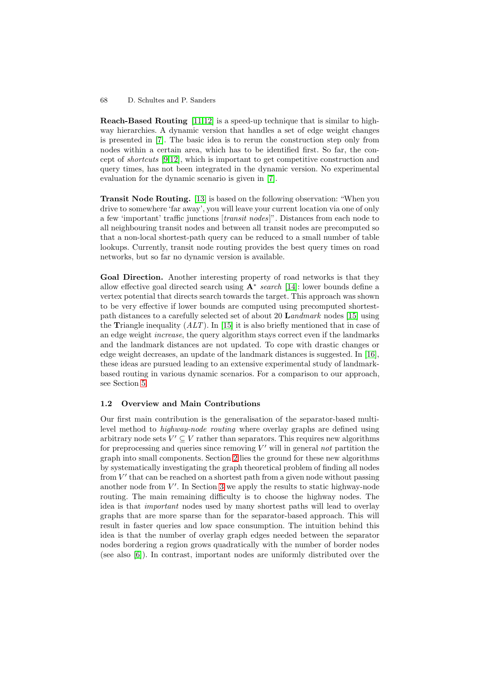**Reach-Based Routing** [\[11,](#page-13-7)[12\]](#page-13-8) is a speed-up technique that is similar to highway hierarchies. A dynamic version that handles a set of edge weight changes is presented in [\[7\]](#page-13-3). The basic idea is to rerun the construction step only from nodes within a certain area, which has to be identified first. So far, the concept of shortcuts [\[9,](#page-13-5)[12\]](#page-13-8), which is important to get competitive construction and query times, has not been integrated in the dynamic version. No experimental evaluation for the dynamic scenario is given in [\[7\]](#page-13-3).

**Transit Node Routing.** [\[13\]](#page-13-9) is based on the following observation: "When you drive to somewhere 'far away', you will leave your current location via one of only a few 'important' traffic junctions [transit nodes]". Distances from each node to all neighbouring transit nodes and between all transit nodes are precomputed so that a non-local shortest-path query can be reduced to a small number of table lookups. Currently, transit node routing provides the best query times on road networks, but so far no dynamic version is available.

**Goal Direction.** Another interesting property of road networks is that they allow effective goal directed search using  $A^*$  search [\[14\]](#page-13-10): lower bounds define a vertex potential that directs search towards the target. This approach was shown to be very effective if lower bounds are computed using precomputed shortestpath distances to a carefully selected set of about 20 **L**andmark nodes [\[15\]](#page-13-11) using the **T**riangle inequality (ALT). In [\[15\]](#page-13-11) it is also briefly mentioned that in case of an edge weight increase, the query algorithm stays correct even if the landmarks and the landmark distances are not updated. To cope with drastic changes or edge weight decreases, an update of the landmark distances is suggested. In [\[16\]](#page-13-12), these ideas are pursued leading to an extensive experimental study of landmarkbased routing in various dynamic scenarios. For a comparison to our approach, see Section [5.](#page-8-0)

#### **1.2 Overview and Main Contributions**

Our first main contribution is the generalisation of the separator-based multilevel method to highway-node routing where overlay graphs are defined using arbitrary node sets  $V' \subseteq V$  rather than separators. This requires new algorithms for preprocessing and queries since removing  $V'$  will in general not partition the graph into small components. Section [2](#page-3-0) lies the ground for these new algorithms by systematically investigating the graph theoretical problem of finding all nodes from  $V'$  that can be reached on a shortest path from a given node without passing another node from  $V'$ . In Section [3](#page-5-0) we apply the results to static highway-node routing. The main remaining difficulty is to choose the highway nodes. The idea is that important nodes used by many shortest paths will lead to overlay graphs that are more sparse than for the separator-based approach. This will result in faster queries and low space consumption. The intuition behind this idea is that the number of overlay graph edges needed between the separator nodes bordering a region grows quadratically with the number of border nodes (see also [\[6\]](#page-13-2)). In contrast, important nodes are uniformly distributed over the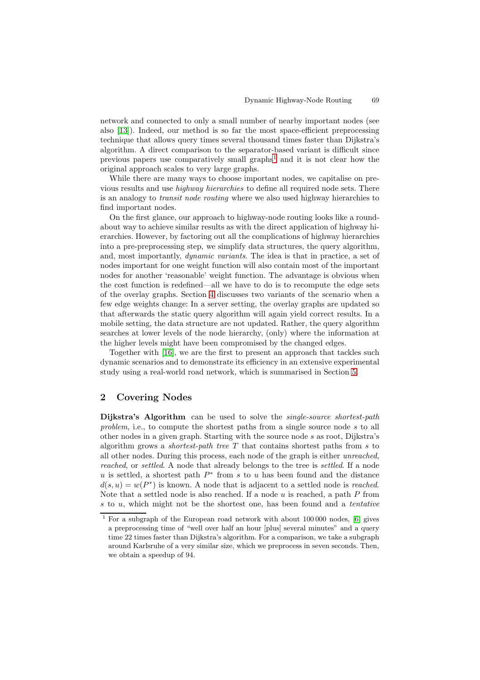network and connected to only a small number of nearby important nodes (see also [\[13\]](#page-13-9)). Indeed, our method is so far the most space-efficient preprocessing technique that allows query times several thousand times faster than Dijkstra's algorithm. A direct comparison to the separator-based variant is difficult since previous papers use comparatively small graphs<sup>[1](#page-3-1)</sup> and it is not clear how the original approach scales to very large graphs.

While there are many ways to choose important nodes, we capitalise on previous results and use highway hierarchies to define all required node sets. There is an analogy to transit node routing where we also used highway hierarchies to find important nodes.

On the first glance, our approach to highway-node routing looks like a roundabout way to achieve similar results as with the direct application of highway hierarchies. However, by factoring out all the complications of highway hierarchies into a pre-preprocessing step, we simplify data structures, the query algorithm, and, most importantly, dynamic variants. The idea is that in practice, a set of nodes important for one weight function will also contain most of the important nodes for another 'reasonable' weight function. The advantage is obvious when the cost function is redefined—all we have to do is to recompute the edge sets of the overlay graphs. Section [4](#page-6-0) discusses two variants of the scenario when a few edge weights change: In a server setting, the overlay graphs are updated so that afterwards the static query algorithm will again yield correct results. In a mobile setting, the data structure are not updated. Rather, the query algorithm searches at lower levels of the node hierarchy, (only) where the information at the higher levels might have been compromised by the changed edges.

Together with [\[16\]](#page-13-12), we are the first to present an approach that tackles such dynamic scenarios and to demonstrate its efficiency in an extensive experimental study using a real-world road network, which is summarised in Section [5.](#page-8-0)

### <span id="page-3-0"></span>**2 Covering Nodes**

**Dijkstra's Algorithm** can be used to solve the *single-source shortest-path* problem, i.e., to compute the shortest paths from a single source node s to all other nodes in a given graph. Starting with the source node s as root, Dijkstra's algorithm grows a *shortest-path tree T* that contains shortest paths from s to all other nodes. During this process, each node of the graph is either unreached, reached, or settled. A node that already belongs to the tree is settled. If a node u is settled, a shortest path  $P^*$  from s to u has been found and the distance  $d(s, u) = w(P^*)$  is known. A node that is adjacent to a settled node is *reached*. Note that a settled node is also reached. If a node  $u$  is reached, a path  $P$  from s to u, which might not be the shortest one, has been found and a tentative

<span id="page-3-1"></span><sup>&</sup>lt;sup>1</sup> For a subgraph of the European road network with about 100 000 nodes, [\[6\]](#page-13-2) gives a preprocessing time of "well over half an hour [plus] several minutes" and a query time 22 times faster than Dijkstra's algorithm. For a comparison, we take a subgraph around Karlsruhe of a very similar size, which we preprocess in seven seconds. Then, we obtain a speedup of 94.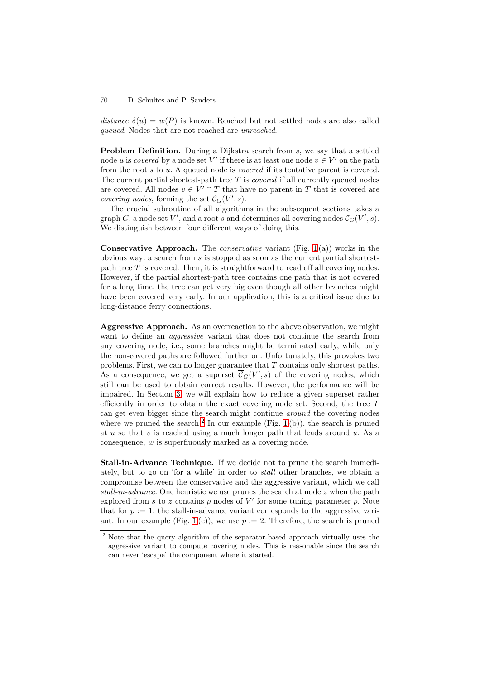distance  $\delta(u) = w(P)$  is known. Reached but not settled nodes are also called queued. Nodes that are not reached are unreached.

**Problem Definition.** During a Dijkstra search from s, we say that a settled node u is covered by a node set V' if there is at least one node  $v \in V'$  on the path from the root s to u. A queued node is covered if its tentative parent is covered. The current partial shortest-path tree  $T$  is *covered* if all currently queued nodes are covered. All nodes  $v \in V' \cap T$  that have no parent in T that is covered are *covering nodes*, forming the set  $C_G(V', s)$ .

The crucial subroutine of all algorithms in the subsequent sections takes a graph G, a node set  $V'$ , and a root s and determines all covering nodes  $\mathcal{C}_G(V', s)$ . We distinguish between four different ways of doing this.

**Conservative Approach.** The *conservative* variant (Fig. [1](#page-5-1)(a)) works in the obvious way: a search from s is stopped as soon as the current partial shortestpath tree  $T$  is covered. Then, it is straightforward to read off all covering nodes. However, if the partial shortest-path tree contains one path that is not covered for a long time, the tree can get very big even though all other branches might have been covered very early. In our application, this is a critical issue due to long-distance ferry connections.

**Aggressive Approach.** As an overreaction to the above observation, we might want to define an *aggressive* variant that does not continue the search from any covering node, i.e., some branches might be terminated early, while only the non-covered paths are followed further on. Unfortunately, this provokes two problems. First, we can no longer guarantee that T contains only shortest paths. As a consequence, we get a superset  $\mathcal{C}_G(V',s)$  of the covering nodes, which still can be used to obtain correct results. However, the performance will be impaired. In Section [3,](#page-5-0) we will explain how to reduce a given superset rather efficiently in order to obtain the exact covering node set. Second, the tree T can get even bigger since the search might continue around the covering nodes where we pruned the search.<sup>[2](#page-4-0)</sup> In our example (Fig. [1](#page-5-1)(b)), the search is pruned at u so that v is reached using a much longer path that leads around u. As a consequence, w is superfluously marked as a covering node.

**Stall-in-Advance Technique.** If we decide not to prune the search immediately, but to go on 'for a while' in order to stall other branches, we obtain a compromise between the conservative and the aggressive variant, which we call stall-in-advance. One heuristic we use prunes the search at node  $z$  when the path explored from s to z contains p nodes of  $V'$  for some tuning parameter p. Note that for  $p := 1$ , the stall-in-advance variant corresponds to the aggressive vari-ant. In our example (Fig. [1](#page-5-1)(c)), we use  $p := 2$ . Therefore, the search is pruned

<span id="page-4-0"></span><sup>&</sup>lt;sup>2</sup> Note that the query algorithm of the separator-based approach virtually uses the aggressive variant to compute covering nodes. This is reasonable since the search can never 'escape' the component where it started.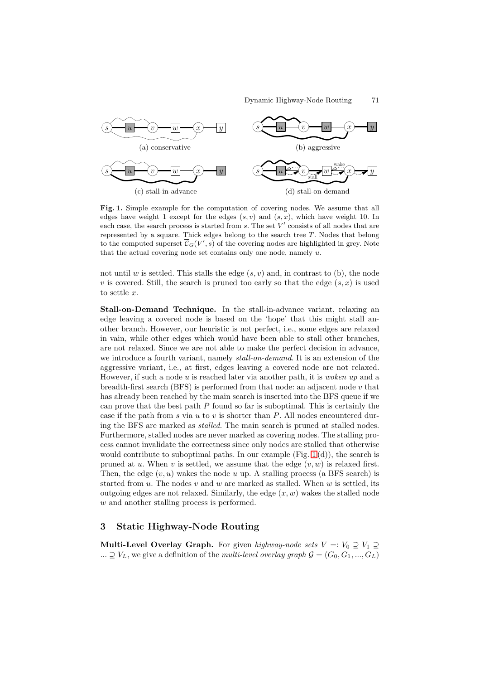

<span id="page-5-1"></span>**Fig. 1.** Simple example for the computation of covering nodes. We assume that all edges have weight 1 except for the edges  $(s, v)$  and  $(s, x)$ , which have weight 10. In each case, the search process is started from  $s$ . The set  $V'$  consists of all nodes that are represented by a square. Thick edges belong to the search tree T. Nodes that belong to the computed superset  $\overline{\mathcal{C}}_G(V',s)$  of the covering nodes are highlighted in grey. Note that the actual covering node set contains only one node, namely  $u$ .

not until w is settled. This stalls the edge  $(s, v)$  and, in contrast to (b), the node v is covered. Still, the search is pruned too early so that the edge  $(s, x)$  is used to settle x.

**Stall-on-Demand Technique.** In the stall-in-advance variant, relaxing an edge leaving a covered node is based on the 'hope' that this might stall another branch. However, our heuristic is not perfect, i.e., some edges are relaxed in vain, while other edges which would have been able to stall other branches, are not relaxed. Since we are not able to make the perfect decision in advance, we introduce a fourth variant, namely *stall-on-demand*. It is an extension of the aggressive variant, i.e., at first, edges leaving a covered node are not relaxed. However, if such a node  $u$  is reached later via another path, it is *woken up* and a breadth-first search (BFS) is performed from that node: an adjacent node  $v$  that has already been reached by the main search is inserted into the BFS queue if we can prove that the best path  $P$  found so far is suboptimal. This is certainly the case if the path from  $s$  via  $u$  to  $v$  is shorter than  $P$ . All nodes encountered during the BFS are marked as stalled. The main search is pruned at stalled nodes. Furthermore, stalled nodes are never marked as covering nodes. The stalling process cannot invalidate the correctness since only nodes are stalled that otherwise would contribute to suboptimal paths. In our example (Fig.  $1(d)$ ), the search is pruned at u. When v is settled, we assume that the edge  $(v, w)$  is relaxed first. Then, the edge  $(v, u)$  wakes the node u up. A stalling process (a BFS search) is started from  $u$ . The nodes  $v$  and  $w$  are marked as stalled. When  $w$  is settled, its outgoing edges are not relaxed. Similarly, the edge  $(x, w)$  wakes the stalled node w and another stalling process is performed.

# <span id="page-5-0"></span>**3 Static Highway-Node Routing**

**Multi-Level Overlay Graph.** For given highway-node sets  $V =: V_0 \supset V_1 \supset V_2$  $\ldots \supseteq V_L$ , we give a definition of the *multi-level overlay graph*  $\mathcal{G} = (G_0, G_1, \ldots, G_L)$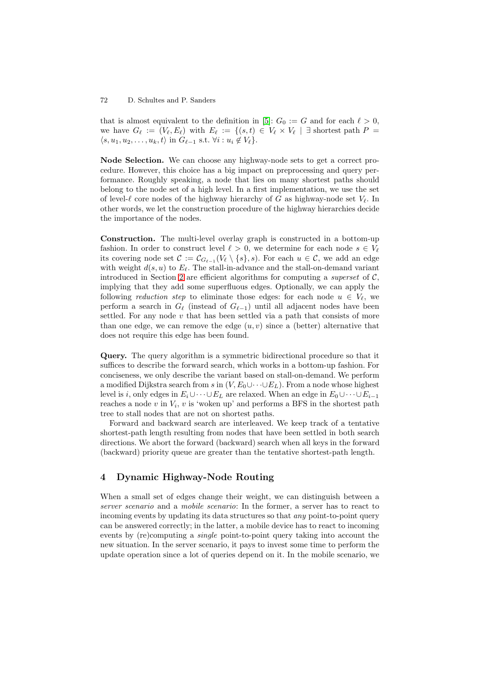that is almost equivalent to the definition in [\[5\]](#page-13-1):  $G_0 := G$  and for each  $\ell > 0$ , we have  $G_{\ell} := (V_{\ell}, E_{\ell})$  with  $E_{\ell} := \{(s, t) \in V_{\ell} \times V_{\ell} \mid \exists \text{ shortest path } P =$  $\langle s, u_1, u_2, \ldots, u_k, t \rangle$  in  $G_{\ell-1}$  s.t.  $\forall i : u_i \notin V_{\ell}$ .

**Node Selection.** We can choose any highway-node sets to get a correct procedure. However, this choice has a big impact on preprocessing and query performance. Roughly speaking, a node that lies on many shortest paths should belong to the node set of a high level. In a first implementation, we use the set of level- $\ell$  core nodes of the highway hierarchy of G as highway-node set  $V_{\ell}$ . In other words, we let the construction procedure of the highway hierarchies decide the importance of the nodes.

**Construction.** The multi-level overlay graph is constructed in a bottom-up fashion. In order to construct level  $\ell > 0$ , we determine for each node  $s \in V_{\ell}$ its covering node set  $\mathcal{C} := \mathcal{C}_{G_{\ell-1}}(V_{\ell} \setminus \{s\}, s)$ . For each  $u \in \mathcal{C}$ , we add an edge with weight  $d(s, u)$  to  $E_{\ell}$ . The stall-in-advance and the stall-on-demand variant introduced in Section [2](#page-3-0) are efficient algorithms for computing a *superset* of  $C$ , implying that they add some superfluous edges. Optionally, we can apply the following reduction step to eliminate those edges: for each node  $u \in V_{\ell}$ , we perform a search in  $G_{\ell}$  (instead of  $G_{\ell-1}$ ) until all adjacent nodes have been settled. For any node  $v$  that has been settled via a path that consists of more than one edge, we can remove the edge  $(u, v)$  since a (better) alternative that does not require this edge has been found.

**Query.** The query algorithm is a symmetric bidirectional procedure so that it suffices to describe the forward search, which works in a bottom-up fashion. For conciseness, we only describe the variant based on stall-on-demand. We perform a modified Dijkstra search from s in  $(V, E_0 \cup \cdots \cup E_L)$ . From a node whose highest level is i, only edges in  $E_i \cup \cdots \cup E_L$  are relaxed. When an edge in  $E_0 \cup \cdots \cup E_{i-1}$ reaches a node  $v$  in  $V_i$ ,  $v$  is 'woken up' and performs a BFS in the shortest path tree to stall nodes that are not on shortest paths.

Forward and backward search are interleaved. We keep track of a tentative shortest-path length resulting from nodes that have been settled in both search directions. We abort the forward (backward) search when all keys in the forward (backward) priority queue are greater than the tentative shortest-path length.

# <span id="page-6-0"></span>**4 Dynamic Highway-Node Routing**

When a small set of edges change their weight, we can distinguish between a server scenario and a mobile scenario: In the former, a server has to react to incoming events by updating its data structures so that any point-to-point query can be answered correctly; in the latter, a mobile device has to react to incoming events by (re)computing a single point-to-point query taking into account the new situation. In the server scenario, it pays to invest some time to perform the update operation since a lot of queries depend on it. In the mobile scenario, we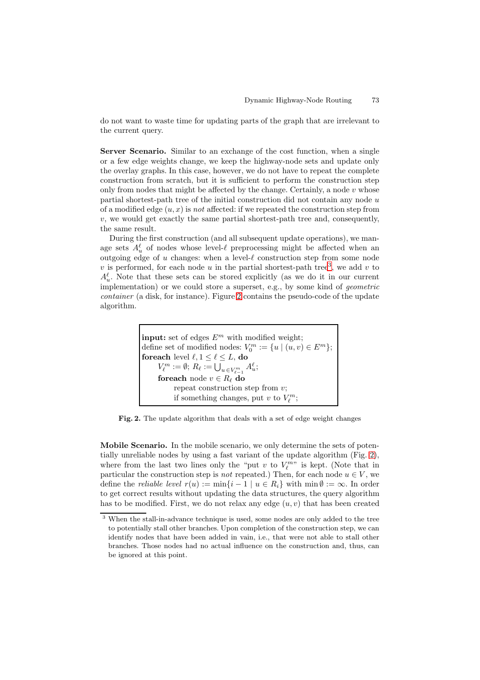do not want to waste time for updating parts of the graph that are irrelevant to the current query.

**Server Scenario.** Similar to an exchange of the cost function, when a single or a few edge weights change, we keep the highway-node sets and update only the overlay graphs. In this case, however, we do not have to repeat the complete construction from scratch, but it is sufficient to perform the construction step only from nodes that might be affected by the change. Certainly, a node  $v$  whose partial shortest-path tree of the initial construction did not contain any node u of a modified edge  $(u, x)$  is not affected: if we repeated the construction step from  $v$ , we would get exactly the same partial shortest-path tree and, consequently, the same result.

During the first construction (and all subsequent update operations), we manage sets  $A_u^{\ell}$  of nodes whose level- $\ell$  preprocessing might be affected when an outgoing edge of u changes: when a level- $\ell$  construction step from some node v is performed, for each node u in the partial shortest-path tree<sup>[3](#page-7-0)</sup>, we add v to  $A_u^{\ell}$ . Note that these sets can be stored explicitly (as we do it in our current implementation) or we could store a superset, e.g., by some kind of geometric container (a disk, for instance). Figure [2](#page-7-1) contains the pseudo-code of the update algorithm.

> **input:** set of edges  $E^m$  with modified weight; define set of modified nodes:  $V_0^m := \{u \mid (u, v) \in E^m\};$ **foreach** level  $\ell, 1 \leq \ell \leq L$ , **do**  $V_{\ell}^{m} := \emptyset; R_{\ell} := \bigcup_{u \in V_{\ell-1}^{m}} A_{u}^{\ell};$ **foreach** node  $v \in R_{\ell}$  **do** repeat construction step from v; if something changes, put v to  $V_{\ell}^{m}$ ;

**Fig. 2.** The update algorithm that deals with a set of edge weight changes

<span id="page-7-1"></span>**Mobile Scenario.** In the mobile scenario, we only determine the sets of potentially unreliable nodes by using a fast variant of the update algorithm (Fig. [2\)](#page-7-1), where from the last two lines only the "put v to  $V_{\ell}^{m}$ " is kept. (Note that in particular the construction step is *not* repeated.) Then, for each node  $u \in V$ , we define the *reliable level*  $r(u) := \min\{i - 1 \mid u \in R_i\}$  with  $\min \emptyset := \infty$ . In order to get correct results without updating the data structures, the query algorithm has to be modified. First, we do not relax any edge  $(u, v)$  that has been created

<span id="page-7-0"></span><sup>3</sup> When the stall-in-advance technique is used, some nodes are only added to the tree to potentially stall other branches. Upon completion of the construction step, we can identify nodes that have been added in vain, i.e., that were not able to stall other branches. Those nodes had no actual influence on the construction and, thus, can be ignored at this point.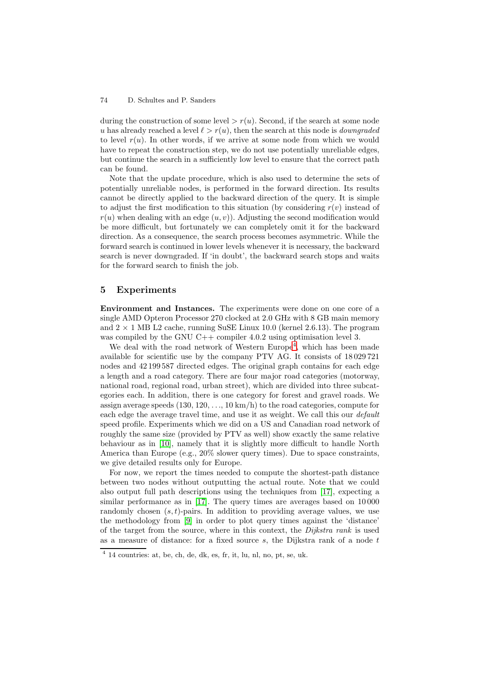during the construction of some level  $>r(u)$ . Second, if the search at some node u has already reached a level  $\ell > r(u)$ , then the search at this node is *downgraded* to level  $r(u)$ . In other words, if we arrive at some node from which we would have to repeat the construction step, we do not use potentially unreliable edges, but continue the search in a sufficiently low level to ensure that the correct path can be found.

Note that the update procedure, which is also used to determine the sets of potentially unreliable nodes, is performed in the forward direction. Its results cannot be directly applied to the backward direction of the query. It is simple to adjust the first modification to this situation (by considering  $r(v)$ ) instead of  $r(u)$  when dealing with an edge  $(u, v)$ ). Adjusting the second modification would be more difficult, but fortunately we can completely omit it for the backward direction. As a consequence, the search process becomes asymmetric. While the forward search is continued in lower levels whenever it is necessary, the backward search is never downgraded. If 'in doubt', the backward search stops and waits for the forward search to finish the job.

### <span id="page-8-0"></span>**5 Experiments**

**Environment and Instances.** The experiments were done on one core of a single AMD Opteron Processor 270 clocked at 2.0 GHz with 8 GB main memory and  $2 \times 1$  MB L2 cache, running SuSE Linux 10.0 (kernel 2.6.13). The program was compiled by the GNU  $C++$  compiler 4.0.2 using optimisation level 3.

We deal with the road network of Western Europe<sup>[4](#page-8-1)</sup>, which has been made available for scientific use by the company PTV AG. It consists of 18029721 nodes and 42199587 directed edges. The original graph contains for each edge a length and a road category. There are four major road categories (motorway, national road, regional road, urban street), which are divided into three subcategories each. In addition, there is one category for forest and gravel roads. We assign average speeds  $(130, 120, \ldots, 10 \text{ km/h})$  to the road categories, compute for each edge the average travel time, and use it as weight. We call this our *default* speed profile. Experiments which we did on a US and Canadian road network of roughly the same size (provided by PTV as well) show exactly the same relative behaviour as in [\[10\]](#page-13-6), namely that it is slightly more difficult to handle North America than Europe (e.g., 20% slower query times). Due to space constraints, we give detailed results only for Europe.

For now, we report the times needed to compute the shortest-path distance between two nodes without outputting the actual route. Note that we could also output full path descriptions using the techniques from [\[17\]](#page-13-13), expecting a similar performance as in [\[17\]](#page-13-13). The query times are averages based on  $10000$ randomly chosen  $(s, t)$ -pairs. In addition to providing average values, we use the methodology from [\[9\]](#page-13-5) in order to plot query times against the 'distance' of the target from the source, where in this context, the Dijkstra rank is used as a measure of distance: for a fixed source  $s$ , the Dijkstra rank of a node  $t$ 

<span id="page-8-1"></span> $\frac{4}{4}$  14 countries: at, be, ch, de, dk, es, fr, it, lu, nl, no, pt, se, uk.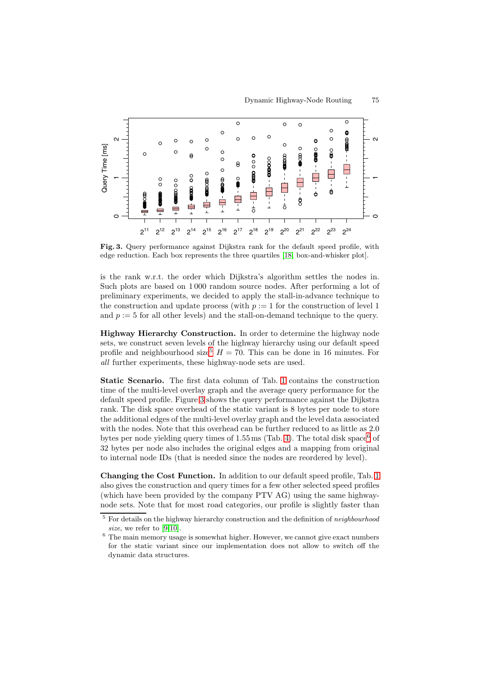

<span id="page-9-1"></span>**Fig. 3.** Query performance against Dijkstra rank for the default speed profile, with edge reduction. Each box represents the three quartiles [\[18,](#page-13-14) box-and-whisker plot].

is the rank w.r.t. the order which Dijkstra's algorithm settles the nodes in. Such plots are based on 1000 random source nodes. After performing a lot of preliminary experiments, we decided to apply the stall-in-advance technique to the construction and update process (with  $p := 1$  for the construction of level 1 and  $p := 5$  for all other levels) and the stall-on-demand technique to the query.

**Highway Hierarchy Construction.** In order to determine the highway node sets, we construct seven levels of the highway hierarchy using our default speed profile and neighbourhood size<sup>[5](#page-9-0)</sup>  $H = 70$ . This can be done in 16 minutes. For all further experiments, these highway-node sets are used.

**Static Scenario.** The first data column of Tab. [1](#page-10-0) contains the construction time of the multi-level overlay graph and the average query performance for the default speed profile. Figure [3](#page-9-1) shows the query performance against the Dijkstra rank. The disk space overhead of the static variant is 8 bytes per node to store the additional edges of the multi-level overlay graph and the level data associated with the nodes. Note that this overhead can be further reduced to as little as 2.0 bytes per node yielding query times of  $1.55 \text{ ms}$  (Tab. [4\)](#page-11-0). The total disk space<sup>[6](#page-9-2)</sup> of 32 bytes per node also includes the original edges and a mapping from original to internal node IDs (that is needed since the nodes are reordered by level).

**Changing the Cost Function.** In addition to our default speed profile, Tab. [1](#page-10-0) also gives the construction and query times for a few other selected speed profiles (which have been provided by the company PTV AG) using the same highwaynode sets. Note that for most road categories, our profile is slightly faster than

<span id="page-9-0"></span> $5$  For details on the highway hierarchy construction and the definition of *neighbourhood* size, we refer to [\[9](#page-13-5)[,10\]](#page-13-6).

<span id="page-9-2"></span> $6$  The main memory usage is somewhat higher. However, we cannot give exact numbers for the static variant since our implementation does not allow to switch off the dynamic data structures.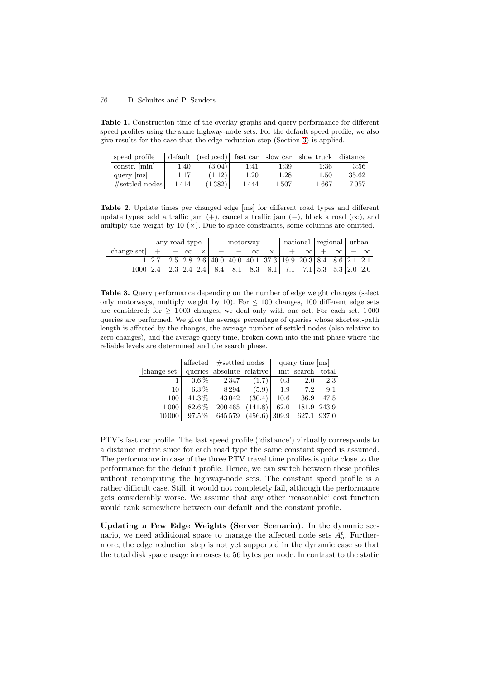<span id="page-10-0"></span>**Table 1.** Construction time of the overlay graphs and query performance for different speed profiles using the same highway-node sets. For the default speed profile, we also give results for the case that the edge reduction step (Section [3\)](#page-5-0) is applied.

| speed profile  |      |        |      |      | default (reduced) fast car slow car slow truck distance |         |
|----------------|------|--------|------|------|---------------------------------------------------------|---------|
| constr. [min]  | 1:40 | (3:04) | 1:41 | 1:39 | 1:36                                                    | 3:56    |
| query [ms]     | 1.17 | (1.12) | 1.20 | 1.28 | 1.50                                                    | 35.62   |
| #settled nodes | 1414 | (1382) | 1444 | 1507 | 1 667                                                   | 7 0 5 7 |

<span id="page-10-1"></span>**Table 2.** Update times per changed edge [ms] for different road types and different update types: add a traffic jam  $(+)$ , cancel a traffic jam  $(-)$ , block a road  $(\infty)$ , and multiply the weight by  $10 \times$ ). Due to space constraints, some columns are omitted.

|                                 | any road type |  |  | motorway |                                                                                                   |  | national regional urban  |  |  |                                           |  |  |  |  |
|---------------------------------|---------------|--|--|----------|---------------------------------------------------------------------------------------------------|--|--------------------------|--|--|-------------------------------------------|--|--|--|--|
| change set  $+ - \infty \times$ |               |  |  |          |                                                                                                   |  | $+\qquad -\qquad \infty$ |  |  | $\times$ + $\infty$ + $\infty$ + $\infty$ |  |  |  |  |
|                                 |               |  |  |          | $1 2.7 \t2.5 \t2.8 \t2.6 \t40.0 \t40.0 \t40.1 \t37.3 \t19.9 \t20.3 \t8.4 \t8.6 \t2.1 \t2.1$       |  |                          |  |  |                                           |  |  |  |  |
|                                 |               |  |  |          | $1000\begin{bmatrix} 2.4 & 2.3 & 2.4 & 2.4 \end{bmatrix}$ 8.4 8.1 8.3 8.1 7.1 7.1 5.3 5.3 2.0 2.0 |  |                          |  |  |                                           |  |  |  |  |

<span id="page-10-2"></span>**Table 3.** Query performance depending on the number of edge weight changes (select only motorways, multiply weight by 10). For  $\leq$  100 changes, 100 different edge sets are considered; for  $\geq 1000$  changes, we deal only with one set. For each set, 1000 queries are performed. We give the average percentage of queries whose shortest-path length is affected by the changes, the average number of settled nodes (also relative to zero changes), and the average query time, broken down into the init phase where the reliable levels are determined and the search phase.

|                                          |            | affected $#settled nodes$                        |                                   | query time [ms] |                   |     |  |  |
|------------------------------------------|------------|--------------------------------------------------|-----------------------------------|-----------------|-------------------|-----|--|--|
| change set   queries   absolute relative |            |                                                  |                                   |                 | init search total |     |  |  |
|                                          | $0.6\,\%$  | 2347                                             | (1.7)                             | 0.3             | 2.0               | 2.3 |  |  |
| 10 <sup>1</sup>                          |            | 6.3 % 8294 (5.9) 1.9 7.2                         |                                   |                 |                   | 9.1 |  |  |
| 100 <sup>1</sup>                         |            | $41.3\%$ $43.042$ $(30.4)$ $10.6$ $36.9$ $47.5$  |                                   |                 |                   |     |  |  |
| 1 0 0 0                                  | $82.6\,\%$ |                                                  | $200465$ (141.8) 62.0 181.9 243.9 |                 |                   |     |  |  |
|                                          |            | $10000$ 97.5 % 645 579 (456.6) 309.9 627.1 937.0 |                                   |                 |                   |     |  |  |

PTV's fast car profile. The last speed profile ('distance') virtually corresponds to a distance metric since for each road type the same constant speed is assumed. The performance in case of the three PTV travel time profiles is quite close to the performance for the default profile. Hence, we can switch between these profiles without recomputing the highway-node sets. The constant speed profile is a rather difficult case. Still, it would not completely fail, although the performance gets considerably worse. We assume that any other 'reasonable' cost function would rank somewhere between our default and the constant profile.

**Updating a Few Edge Weights (Server Scenario).** In the dynamic scenario, we need additional space to manage the affected node sets  $A_u^{\ell}$ . Furthermore, the edge reduction step is not yet supported in the dynamic case so that the total disk space usage increases to 56 bytes per node. In contrast to the static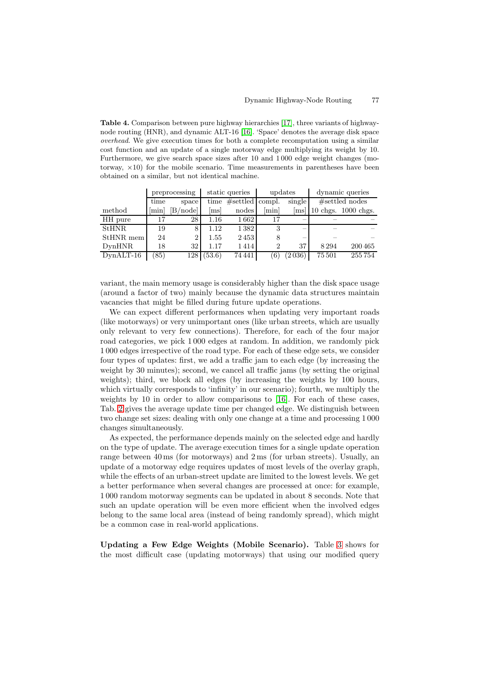<span id="page-11-0"></span>**Table 4.** Comparison between pure highway hierarchies [\[17\]](#page-13-13), three variants of highwaynode routing (HNR), and dynamic ALT-16 [\[16\]](#page-13-12). 'Space' denotes the average disk space overhead. We give execution times for both a complete recomputation using a similar cost function and an update of a single motorway edge multiplying its weight by 10. Furthermore, we give search space sizes after 10 and 1 000 edge weight changes (motorway,  $\times$ 10) for the mobile scenario. Time measurements in parentheses have been obtained on a similar, but not identical machine.

|              | preprocessing        |                |                      | static queries |        | updates                      | dynamic queries |                     |  |
|--------------|----------------------|----------------|----------------------|----------------|--------|------------------------------|-----------------|---------------------|--|
|              | time                 | space          | time                 | #settled       | compl. | single                       | #settled nodes  |                     |  |
| method       | $\lceil \min \rceil$ | B/nodel        | $\lfloor ms \rfloor$ | nodes          | minl   | $\left  \mathrm{ms} \right $ |                 | 10 chgs. 1000 chgs. |  |
| HH pure      | 17                   | 28             | $1.16\,$             | 1662           |        |                              |                 |                     |  |
| <b>StHNR</b> | 19                   | 8              | 1.12                 | 1382           | 3      |                              |                 |                     |  |
| StHNR mem    | 24                   | $\overline{2}$ | $1.55\,$             | 2453           | 8      |                              |                 |                     |  |
| DynHNR       | 18                   | 32             | 1.17                 | 1414           | 2      | 37                           | 8294            | 200465              |  |
| $DynALT-16$  | (85)                 | 128            | (53.6)               | 74441          | (6)    | (2036)                       | 75 501          | 255754              |  |

variant, the main memory usage is considerably higher than the disk space usage (around a factor of two) mainly because the dynamic data structures maintain vacancies that might be filled during future update operations.

We can expect different performances when updating very important roads (like motorways) or very unimportant ones (like urban streets, which are usually only relevant to very few connections). Therefore, for each of the four major road categories, we pick 1000 edges at random. In addition, we randomly pick 1000 edges irrespective of the road type. For each of these edge sets, we consider four types of updates: first, we add a traffic jam to each edge (by increasing the weight by 30 minutes); second, we cancel all traffic jams (by setting the original weights); third, we block all edges (by increasing the weights by 100 hours, which virtually corresponds to 'infinity' in our scenario); fourth, we multiply the weights by 10 in order to allow comparisons to [\[16\]](#page-13-12). For each of these cases, Tab. [2](#page-10-1) gives the average update time per changed edge. We distinguish between two change set sizes: dealing with only one change at a time and processing 1000 changes simultaneously.

As expected, the performance depends mainly on the selected edge and hardly on the type of update. The average execution times for a single update operation range between 40ms (for motorways) and 2 ms (for urban streets). Usually, an update of a motorway edge requires updates of most levels of the overlay graph, while the effects of an urban-street update are limited to the lowest levels. We get a better performance when several changes are processed at once: for example, 1000 random motorway segments can be updated in about 8 seconds. Note that such an update operation will be even more efficient when the involved edges belong to the same local area (instead of being randomly spread), which might be a common case in real-world applications.

**Updating a Few Edge Weights (Mobile Scenario).** Table [3](#page-10-2) shows for the most difficult case (updating motorways) that using our modified query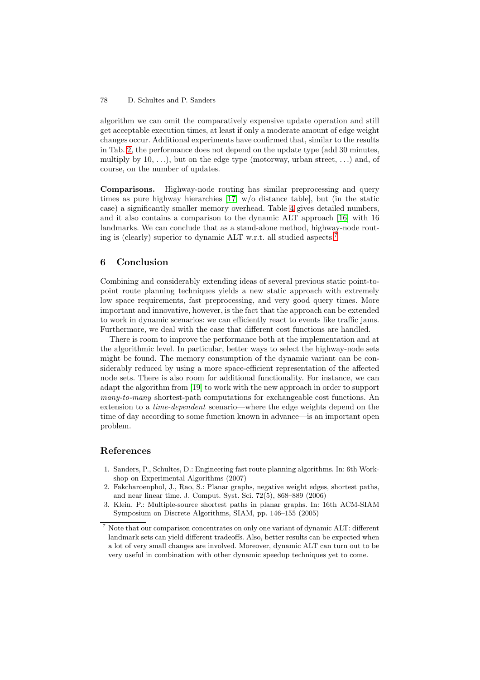algorithm we can omit the comparatively expensive update operation and still get acceptable execution times, at least if only a moderate amount of edge weight changes occur. Additional experiments have confirmed that, similar to the results in Tab. [2,](#page-10-1) the performance does not depend on the update type (add 30 minutes, multiply by  $10, \ldots$ ), but on the edge type (motorway, urban street,  $\ldots$ ) and, of course, on the number of updates.

**Comparisons.** Highway-node routing has similar preprocessing and query times as pure highway hierarchies [\[17,](#page-13-13) w/o distance table], but (in the static case) a significantly smaller memory overhead. Table [4](#page-11-0) gives detailed numbers, and it also contains a comparison to the dynamic ALT approach [\[16\]](#page-13-12) with 16 landmarks. We can conclude that as a stand-alone method, highway-node routing is (clearly) superior to dynamic ALT w.r.t. all studied aspects.[7](#page-12-4)

### **6 Conclusion**

Combining and considerably extending ideas of several previous static point-topoint route planning techniques yields a new static approach with extremely low space requirements, fast preprocessing, and very good query times. More important and innovative, however, is the fact that the approach can be extended to work in dynamic scenarios: we can efficiently react to events like traffic jams. Furthermore, we deal with the case that different cost functions are handled.

There is room to improve the performance both at the implementation and at the algorithmic level. In particular, better ways to select the highway-node sets might be found. The memory consumption of the dynamic variant can be considerably reduced by using a more space-efficient representation of the affected node sets. There is also room for additional functionality. For instance, we can adapt the algorithm from [\[19\]](#page-13-15) to work with the new approach in order to support many-to-many shortest-path computations for exchangeable cost functions. An extension to a time-dependent scenario—where the edge weights depend on the time of day according to some function known in advance—is an important open problem.

### <span id="page-12-1"></span><span id="page-12-0"></span>**References**

- 1. Sanders, P., Schultes, D.: Engineering fast route planning algorithms. In: 6th Workshop on Experimental Algorithms (2007)
- <span id="page-12-2"></span>2. Fakcharoenphol, J., Rao, S.: Planar graphs, negative weight edges, shortest paths, and near linear time. J. Comput. Syst. Sci. 72(5), 868–889 (2006)
- <span id="page-12-3"></span>3. Klein, P.: Multiple-source shortest paths in planar graphs. In: 16th ACM-SIAM Symposium on Discrete Algorithms, SIAM, pp. 146–155 (2005)

<span id="page-12-4"></span><sup>7</sup> Note that our comparison concentrates on only one variant of dynamic ALT: different landmark sets can yield different tradeoffs. Also, better results can be expected when a lot of very small changes are involved. Moreover, dynamic ALT can turn out to be very useful in combination with other dynamic speedup techniques yet to come.